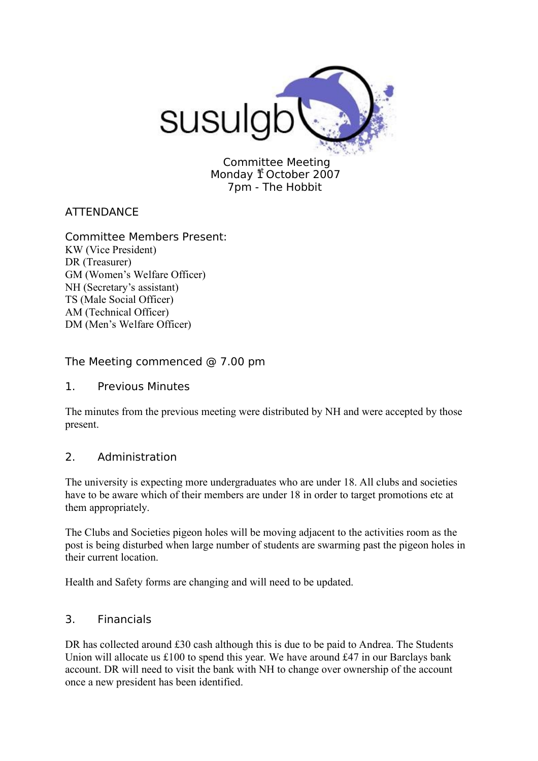

Committee Meeting Monday  $1<sup>t</sup>$  October 2007 7pm - The Hobbit

# **ATTENDANCE**

# Committee Members Present:

KW (Vice President) DR (Treasurer) GM (Women's Welfare Officer) NH (Secretary's assistant) TS (Male Social Officer) AM (Technical Officer) DM (Men's Welfare Officer)

# The Meeting commenced @ 7.00 pm

#### 1. Previous Minutes

The minutes from the previous meeting were distributed by NH and were accepted by those present.

# 2. Administration

The university is expecting more undergraduates who are under 18. All clubs and societies have to be aware which of their members are under 18 in order to target promotions etc at them appropriately.

The Clubs and Societies pigeon holes will be moving adjacent to the activities room as the post is being disturbed when large number of students are swarming past the pigeon holes in their current location.

Health and Safety forms are changing and will need to be updated.

# 3. Financials

DR has collected around £30 cash although this is due to be paid to Andrea. The Students Union will allocate us £100 to spend this year. We have around £47 in our Barclays bank account. DR will need to visit the bank with NH to change over ownership of the account once a new president has been identified.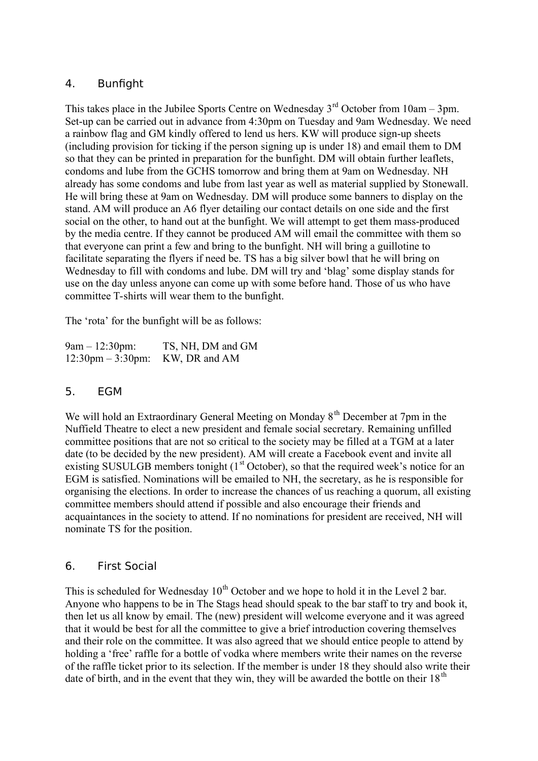# 4. Bunfight

This takes place in the Jubilee Sports Centre on Wednesday  $3<sup>rd</sup>$  October from 10am – 3pm. Set-up can be carried out in advance from 4:30pm on Tuesday and 9am Wednesday. We need a rainbow flag and GM kindly offered to lend us hers. KW will produce sign-up sheets (including provision for ticking if the person signing up is under 18) and email them to DM so that they can be printed in preparation for the bunfight. DM will obtain further leaflets, condoms and lube from the GCHS tomorrow and bring them at 9am on Wednesday. NH already has some condoms and lube from last year as well as material supplied by Stonewall. He will bring these at 9am on Wednesday. DM will produce some banners to display on the stand. AM will produce an A6 flyer detailing our contact details on one side and the first social on the other, to hand out at the bunfight. We will attempt to get them mass-produced by the media centre. If they cannot be produced AM will email the committee with them so that everyone can print a few and bring to the bunfight. NH will bring a guillotine to facilitate separating the flyers if need be. TS has a big silver bowl that he will bring on Wednesday to fill with condoms and lube. DM will try and 'blag' some display stands for use on the day unless anyone can come up with some before hand. Those of us who have committee T-shirts will wear them to the bunfight.

The 'rota' for the bunfight will be as follows:

| $9am - 12:30pm$ :                  | TS, NH, DM and GM |
|------------------------------------|-------------------|
| $12:30 \text{pm} - 3:30 \text{pm}$ | KW, DR and AM     |

# 5. EGM

We will hold an Extraordinary General Meeting on Monday 8<sup>th</sup> December at 7pm in the Nuffield Theatre to elect a new president and female social secretary. Remaining unfilled committee positions that are not so critical to the society may be filled at a TGM at a later date (to be decided by the new president). AM will create a Facebook event and invite all existing SUSULGB members tonight  $(1<sup>st</sup> October)$ , so that the required week's notice for an EGM is satisfied. Nominations will be emailed to NH, the secretary, as he is responsible for organising the elections. In order to increase the chances of us reaching a quorum, all existing committee members should attend if possible and also encourage their friends and acquaintances in the society to attend. If no nominations for president are received, NH will nominate TS for the position.

# 6. First Social

This is scheduled for Wednesday  $10<sup>th</sup>$  October and we hope to hold it in the Level 2 bar. Anyone who happens to be in The Stags head should speak to the bar staff to try and book it, then let us all know by email. The (new) president will welcome everyone and it was agreed that it would be best for all the committee to give a brief introduction covering themselves and their role on the committee. It was also agreed that we should entice people to attend by holding a 'free' raffle for a bottle of vodka where members write their names on the reverse of the raffle ticket prior to its selection. If the member is under 18 they should also write their date of birth, and in the event that they win, they will be awarded the bottle on their  $18<sup>th</sup>$